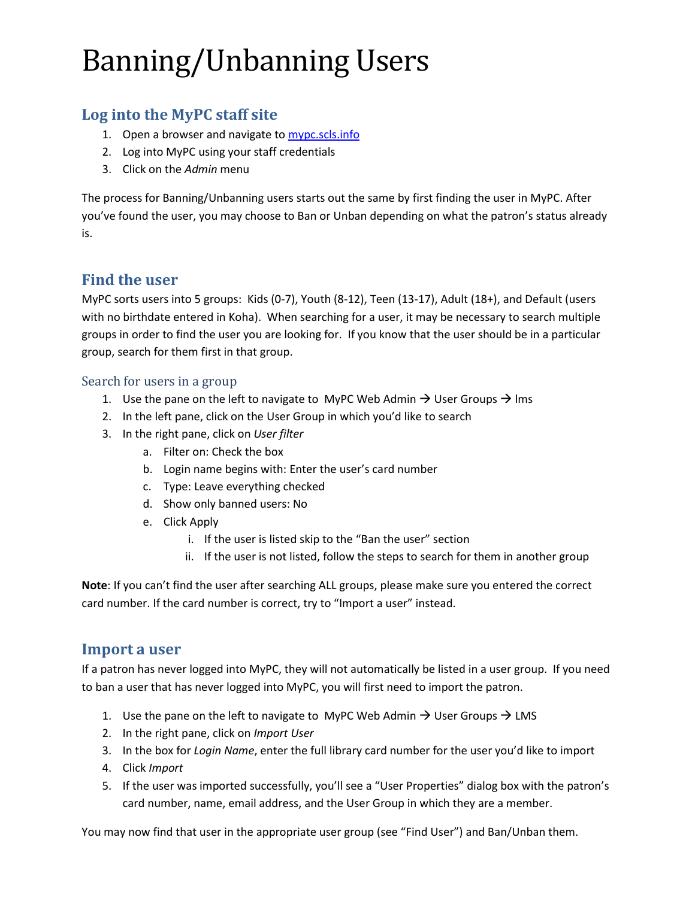# Banning/Unbanning Users

# **Log into the MyPC staff site**

- 1. Open a browser and navigate to [mypc.scls.info](http://mypc.scls.info/)
- 2. Log into MyPC using your staff credentials
- 3. Click on the *Admin* menu

The process for Banning/Unbanning users starts out the same by first finding the user in MyPC. After you've found the user, you may choose to Ban or Unban depending on what the patron's status already is.

## **Find the user**

MyPC sorts users into 5 groups: Kids (0-7), Youth (8-12), Teen (13-17), Adult (18+), and Default (users with no birthdate entered in Koha). When searching for a user, it may be necessary to search multiple groups in order to find the user you are looking for. If you know that the user should be in a particular group, search for them first in that group.

#### Search for users in a group

- 1. Use the pane on the left to navigate to MyPC Web Admin  $\rightarrow$  User Groups  $\rightarrow$  lms
- 2. In the left pane, click on the User Group in which you'd like to search
- 3. In the right pane, click on *User filter*
	- a. Filter on: Check the box
	- b. Login name begins with: Enter the user's card number
	- c. Type: Leave everything checked
	- d. Show only banned users: No
	- e. Click Apply
		- i. If the user is listed skip to the "Ban the user" section
		- ii. If the user is not listed, follow the steps to search for them in another group

**Note**: If you can't find the user after searching ALL groups, please make sure you entered the correct card number. If the card number is correct, try to "Import a user" instead.

#### **Import a user**

If a patron has never logged into MyPC, they will not automatically be listed in a user group. If you need to ban a user that has never logged into MyPC, you will first need to import the patron.

- 1. Use the pane on the left to navigate to MyPC Web Admin  $\rightarrow$  User Groups  $\rightarrow$  LMS
- 2. In the right pane, click on *Import User*
- 3. In the box for *Login Name*, enter the full library card number for the user you'd like to import
- 4. Click *Import*
- 5. If the user was imported successfully, you'll see a "User Properties" dialog box with the patron's card number, name, email address, and the User Group in which they are a member.

You may now find that user in the appropriate user group (see "Find User") and Ban/Unban them.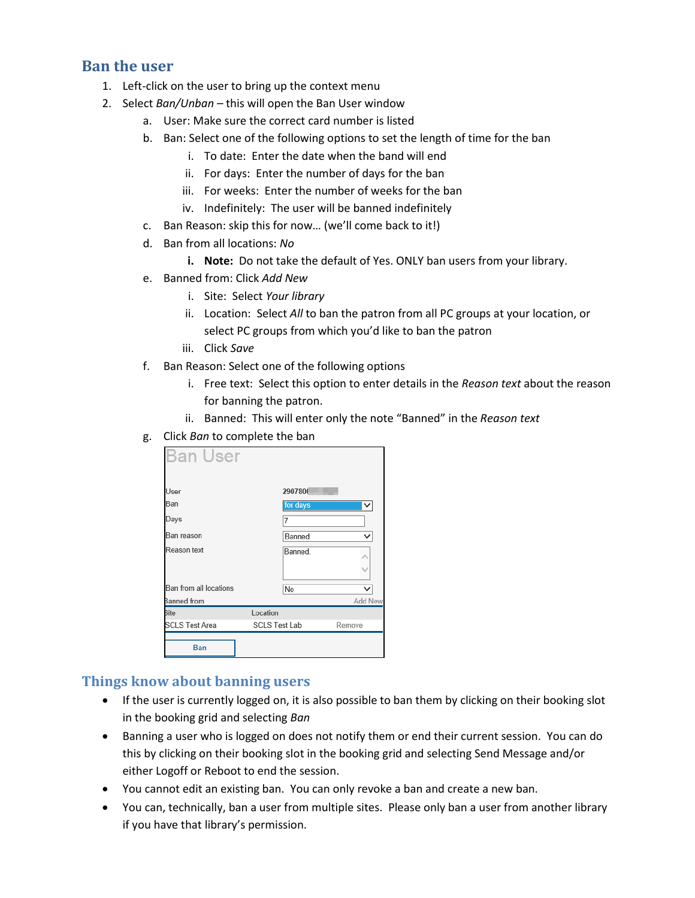#### **Ban the user**

- 1. Left-click on the user to bring up the context menu
- 2. Select *Ban/Unban –* this will open the Ban User window
	- a. User: Make sure the correct card number is listed
	- b. Ban: Select one of the following options to set the length of time for the ban
		- i. To date: Enter the date when the band will end
		- ii. For days: Enter the number of days for the ban
		- iii. For weeks: Enter the number of weeks for the ban
		- iv. Indefinitely: The user will be banned indefinitely
	- c. Ban Reason: skip this for now… (we'll come back to it!)
	- d. Ban from all locations: *No*
		- **i. Note:** Do not take the default of Yes. ONLY ban users from your library.
	- e. Banned from: Click *Add New*
		- i. Site: Select *Your library*
		- ii. Location: Select *All* to ban the patron from all PC groups at your location, or select PC groups from which you'd like to ban the patron
		- iii. Click *Save*
	- f. Ban Reason: Select one of the following options
		- i. Free text: Select this option to enter details in the *Reason text* about the reason for banning the patron.
		- ii. Banned: This will enter only the note "Banned" in the *Reason text*
	- g. Click *Ban* to complete the ban

| <b>Ban User</b>        |          |                      |              |
|------------------------|----------|----------------------|--------------|
| User                   |          | 2907800              |              |
| Ban                    |          | for days             | $\checkmark$ |
| Days                   |          | 7                    |              |
| Ban reason             |          | Banned               | $\checkmark$ |
| Reason text            |          | Banned.              |              |
|                        |          |                      |              |
| Ban from all locations |          | No                   |              |
| Banned from            |          |                      | Add New      |
| <b>Site</b>            | Location |                      |              |
| <b>SCLS Test Area</b>  |          | <b>SCLS Test Lab</b> |              |
| Ban                    |          |                      |              |

#### **Things know about banning users**

- If the user is currently logged on, it is also possible to ban them by clicking on their booking slot in the booking grid and selecting *Ban*
- Banning a user who is logged on does not notify them or end their current session. You can do this by clicking on their booking slot in the booking grid and selecting Send Message and/or either Logoff or Reboot to end the session.
- You cannot edit an existing ban. You can only revoke a ban and create a new ban.
- You can, technically, ban a user from multiple sites. Please only ban a user from another library if you have that library's permission.